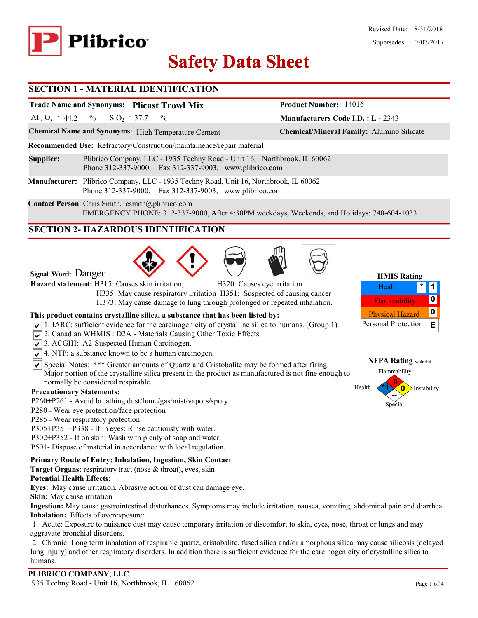

# **Safety Data Sheet Safety Data**

# **SECTION 1 - MATERIAL IDENTIFICATION**

# **Trade Name and Synonyms: Plicast Trowl Mix**

Al<sub>2</sub> O<sub>3</sub> - 44.2 % SiO<sub>2</sub> - 37.7 %  $SiO_2$  - 37.7

**Chemical Name and Synonyms**: High Temperature Cement **Chemical/Mineral Family:** Alumino Silicate

**Recommended Use:** Refractory/Construction/maintainence/repair material

**Supplier:** Plibrico Company, LLC - 1935 Techny Road - Unit 16, Northbrook, IL 60062 Phone 312-337-9000, Fax 312-337-9003, www.plibrico.com

**Manufacturer:** Plibrico Company, LLC - 1935 Techny Road, Unit 16, Northbrook, IL 60062 Phone 312-337-9000, Fax 312-337-9003, www.plibrico.com

**Contact Person**: Chris Smith, csmith@plibrico.com EMERGENCY PHONE: 312-337-9000, After 4:30PM weekdays, Weekends, and Holidays: 740-604-1033

# **SECTION 2- HAZARDOUS IDENTIFICATION**





**HMIS Rating 1** Flammability **0 \*** Physical Hazard **0** Personal Protection **E** Health



**Manufacturers Code I.D. : L -** 2343

**Product Number:** 14016

# **This product contains crystalline silica, a substance that has been listed by:**

- $\sqrt{1}$ . IARC: sufficient evidence for the carcinogenicity of crystalline silica to humans. (Group 1)
- 2. Canadian WHMIS: D2A Materials Causing Other Toxic Effects
- 3. ACGIH: A2-Suspected Human Carcinogen.
- $\sqrt{\sqrt{4}}$ . NTP: a substance known to be a human carcinogen.
- $\triangledown$  Special Notes: \*\*\* Greater amounts of Quartz and Cristobalite may be formed after firing. Major portion of the crystalline silica present in the product as manufactured is not fine enough to normally be considered respirable.

### **Precautionary Statements:**

**Signal Word:** Danger

- P260**+**P261 Avoid breathing dust/fume/gas/mist/vapors/spray
- P280 Wear eye protection/face protection
- P285 Wear respiratory protection
- P305+P351+P338 If in eyes: Rinse cautiously with water.
- P302+P352 If on skin: Wash with plenty of soap and water.
- P501- Dispose of material in accordance with local regulation.

# **Primary Route of Entry: Inhalation, Ingestion, Skin Contact**

**Target Organs:** respiratory tract (nose & throat), eyes, skin

# **Potential Health Effects:**

**Eyes:** May cause irritation. Abrasive action of dust can damage eye.

**Skin:** May cause irritation

**Ingestion:** May cause gastrointestinal disturbances. Symptoms may include irritation, nausea, vomiting, abdominal pain and diarrhea. **Inhalation:** Effects of overexposure:

1. Acute: Exposure to nuisance dust may cause temporary irritation or discomfort to skin, eyes, nose, throat or lungs and may aggravate bronchial disorders.

2. Chronic: Long term inhalation of respirable quartz, cristobalite, fused silica and/or amorphous silica may cause silicosis (delayed lung injury) and other respiratory disorders. In addition there is sufficient evidence for the carcinogenicity of crystalline silica to humans.



Special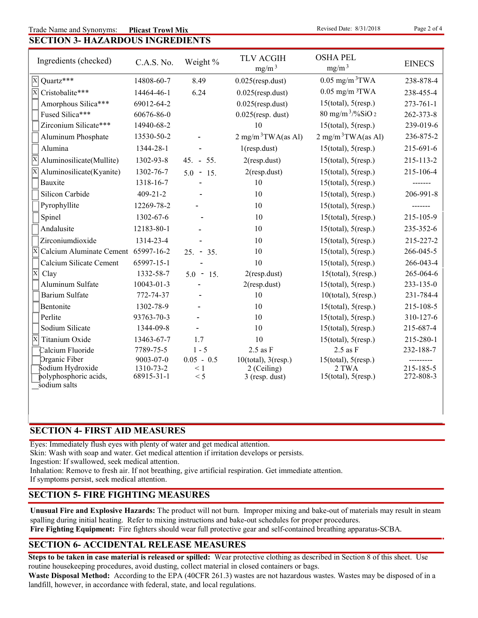#### **SECTION 3- HAZARDOUS INGREDIENTS** Trade Name and Synonyms: **Plicast Trowl Mix** exists the series of 4 and 2 of 4 and 2 of 4 and 2 of 4 and 2 of 4 **Plicast Trowl Mix**

| Ingredients (checked)                              | C.A.S. No.              | Weight %        | <b>TLV ACGIH</b><br>mg/m <sup>3</sup> | <b>OSHA PEL</b><br>mg/m <sup>3</sup> | <b>EINECS</b>          |
|----------------------------------------------------|-------------------------|-----------------|---------------------------------------|--------------------------------------|------------------------|
| $\overline{X}$ Quartz***                           | 14808-60-7              | 8.49            | $0.025$ (resp.dust)                   | $0.05$ mg/m $3$ TWA                  | 238-878-4              |
| $\overline{\mathbf{x}}$<br>Cristobalite***         | 14464-46-1              | 6.24            | $0.025$ (resp.dust)                   | $0.05$ mg/m $3$ TWA                  | 238-455-4              |
| Amorphous Silica***                                | 69012-64-2              |                 | $0.025$ (resp.dust)                   | $15$ (total), $5$ (resp.)            | $273 - 761 - 1$        |
| Fused Silica***                                    | 60676-86-0              |                 | $0.025$ (resp. dust)                  | 80 mg/m <sup>3</sup> /%SiO 2         | 262-373-8              |
| Zirconium Silicate***                              | 14940-68-2              |                 | 10                                    | $15$ (total), $5$ (resp.)            | 239-019-6              |
| Aluminum Phosphate                                 | 13530-50-2              |                 | $2$ mg/m <sup>3</sup> TWA(as Al)      | $2$ mg/m <sup>3</sup> TWA(as Al)     | 236-875-2              |
| Alumina                                            | 1344-28-1               |                 | $1$ (resp.dust)                       | $15$ (total), $5$ (resp.)            | 215-691-6              |
| ΙX<br>Aluminosilicate(Mullite)                     | 1302-93-8               | $45. - 55.$     | $2$ (resp.dust)                       | $15$ (total), $5$ (resp.)            | 215-113-2              |
| Aluminosilicate(Kyanite)                           | 1302-76-7               | $5.0 - 15.$     | $2$ (resp.dust)                       | $15$ (total), $5$ (resp.)            | 215-106-4              |
| Bauxite                                            | 1318-16-7               |                 | 10                                    | $15$ (total), $5$ (resp.)            |                        |
| Silicon Carbide                                    | $409 - 21 - 2$          |                 | 10                                    | $15$ (total), $5$ (resp.)            | 206-991-8              |
| Pyrophyllite                                       | 12269-78-2              |                 | 10                                    | $15$ (total), $5$ (resp.)            |                        |
| Spinel                                             | 1302-67-6               |                 | 10                                    | $15$ (total), $5$ (resp.)            | 215-105-9              |
| Andalusite                                         | 12183-80-1              |                 | 10                                    | $15$ (total), $5$ (resp.)            | 235-352-6              |
| Zirconiumdioxide                                   | 1314-23-4               |                 | 10                                    | $15$ (total), $5$ (resp.)            | 215-227-2              |
| $\overline{X}$ Calcium Aluminate Cement 65997-16-2 |                         | $25. - 35.$     | 10                                    | $15$ (total), $5$ (resp.)            | 266-045-5              |
| Calcium Silicate Cement                            | 65997-15-1              |                 | 10                                    | $15$ (total), $5$ (resp.)            | 266-043-4              |
| $\overline{\mathrm{X}}$<br>Clay                    | 1332-58-7               | $5.0 - 15.$     | $2$ (resp.dust)                       | $15$ (total), $5$ (resp.)            | 265-064-6              |
| Aluminum Sulfate                                   | 10043-01-3              |                 | $2$ (resp.dust)                       | $15$ (total), $5$ (resp.)            | 233-135-0              |
| <b>Barium Sulfate</b>                              | 772-74-37               |                 | 10                                    | $10$ (total), $5$ (resp.)            | 231-784-4              |
| Bentonite                                          | 1302-78-9               |                 | 10                                    | $15$ (total), $5$ (resp.)            | 215-108-5              |
| Perlite                                            | 93763-70-3              |                 | 10                                    | $15$ (total), $5$ (resp.)            | 310-127-6              |
| Sodium Silicate                                    | 1344-09-8               |                 | 10                                    | $15$ (total), $5$ (resp.)            | 215-687-4              |
| Titanium Oxide<br>ΙX                               | 13463-67-7              | 1.7             | 10                                    | $15$ (total), $5$ (resp.)            | 215-280-1              |
| Calcium Fluoride                                   | 7789-75-5               | $1 - 5$         | $2.5$ as $F$                          | $2.5$ as $F$                         | 232-188-7              |
| Organic Fiber                                      | $9003 - 07 - 0$         | $0.05 - 0.5$    | $10$ (total), $3$ (resp.)             | $15$ (total), $5$ (resp.)            |                        |
| Sodium Hydroxide<br>polyphosphoric acids,          | 1310-73-2<br>68915-31-1 | $\leq 1$<br>< 5 | 2 (Ceiling)<br>$3$ (resp. dust)       | 2 TWA<br>$15$ (total), $5$ (resp.)   | 215-185-5<br>272-808-3 |
| sodium salts                                       |                         |                 |                                       |                                      |                        |

# **SECTION 4- FIRST AID MEASURES**

Eyes: Immediately flush eyes with plenty of water and get medical attention.

Skin: Wash with soap and water. Get medical attention if irritation develops or persists.

Ingestion: If swallowed, seek medical attention.

Inhalation: Remove to fresh air. If not breathing, give artificial respiration. Get immediate attention.

If symptoms persist, seek medical attention.

# **SECTION 5- FIRE FIGHTING MEASURES**

**Unusual Fire and Explosive Hazards:** The product will not burn. Improper mixing and bake-out of materials may result in steam spalling during initial heating. Refer to mixing instructions and bake-out schedules for proper procedures.

**Fire Fighting Equipment:** Fire fighters should wear full protective gear and self-contained breathing apparatus-SCBA.

# **SECTION 6- ACCIDENTAL RELEASE MEASURES**

**Steps to be taken in case material is released or spilled:** Wear protective clothing as described in Section 8 of this sheet. Use routine housekeeping procedures, avoid dusting, collect material in closed containers or bags.

**Waste Disposal Method:** According to the EPA (40CFR 261.3) wastes are not hazardous wastes. Wastes may be disposed of in a landfill, however, in accordance with federal, state, and local regulations.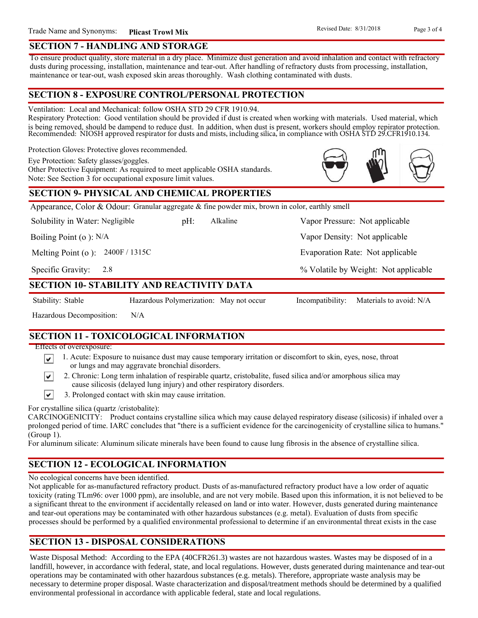## **SECTION 7 - HANDLING AND STORAGE**

To ensure product quality, store material in a dry place. Minimize dust generation and avoid inhalation and contact with refractory dusts during processing, installation, maintenance and tear-out. After handling of refractory dusts from processing, installation, maintenance or tear-out, wash exposed skin areas thoroughly. Wash clothing contaminated with dusts.

# **SECTION 8 - EXPOSURE CONTROL/PERSONAL PROTECTION**

Ventilation: Local and Mechanical: follow OSHA STD 29 CFR 1910.94.

Respiratory Protection: Good ventilation should be provided if dust is created when working with materials. Used material, which is being removed, should be dampend to reduce dust. In addition, when dust is present, workers should employ repirator protection. Recommended: NIOSH approved respirator for dusts and mists, including silica, in compliance with OSHA STD 29.CFR1910.134.

Protection Gloves: Protective gloves recommended.

Eye Protection: Safety glasses/goggles.

Other Protective Equipment: As required to meet applicable OSHA standards. Note: See Section 3 for occupational exposure limit values.

# **SECTION 9- PHYSICAL AND CHEMICAL PROPERTIES**

Appearance, Color & Odour: Granular aggregate & fine powder mix, brown in color, earthly smell

Solubility in Water: Negligible

pH: Alkaline Vapor Pressure: Not applicable Alkaline

Boiling Point (o ): N/A

Melting Point (o ): 2400F / 1315C

2.8 Specific Gravity:

# **SECTION 10- STABILITY AND REACTIVITY DATA**

∣V∣

Stability: Stable Hazardous Polymerization: May not occur Incompatibility: Materials to avoid: N/A

% Volatile by Weight: Not applicable

Evaporation Rate: Not applicable

Vapor Density: Not applicable

Hazardous Decomposition: N/A

# **SECTION 11 - TOXICOLOGICAL INFORMATION**

Effects of overexposure:

- 1. Acute: Exposure to nuisance dust may cause temporary irritation or discomfort to skin, eyes, nose, throat or lungs and may aggravate bronchial disorders.
- 2. Chronic: Long term inhalation of respirable quartz, cristobalite, fused silica and/or amorphous silica may ∣V∣ cause silicosis (delayed lung injury) and other respiratory disorders.
- $\vert\mathbf{v}\vert$ 3. Prolonged contact with skin may cause irritation.

For crystalline silica (quartz /cristobalite):

CARCINOGENICITY: Product contains crystalline silica which may cause delayed respiratory disease (silicosis) if inhaled over a prolonged period of time. IARC concludes that "there is a sufficient evidence for the carcinogenicity of crystalline silica to humans." (Group 1).

For aluminum silicate: Aluminum silicate minerals have been found to cause lung fibrosis in the absence of crystalline silica.

# **SECTION 12 - ECOLOGICAL INFORMATION**

No ecological concerns have been identified.

Not applicable for as-manufactured refractory product. Dusts of as-manufactured refractory product have a low order of aquatic toxicity (rating TLm96: over 1000 ppm), are insoluble, and are not very mobile. Based upon this information, it is not believed to be a significant threat to the environment if accidentally released on land or into water. However, dusts generated during maintenance and tear-out operations may be contaminated with other hazardous substances (e.g. metal). Evaluation of dusts from specific processes should be performed by a qualified environmental professional to determine if an environmental threat exists in the case

# **SECTION 13 - DISPOSAL CONSIDERATIONS**

Waste Disposal Method: According to the EPA (40CFR261.3) wastes are not hazardous wastes. Wastes may be disposed of in a landfill, however, in accordance with federal, state, and local regulations. However, dusts generated during maintenance and tear-out operations may be contaminated with other hazardous substances (e.g. metals). Therefore, appropriate waste analysis may be necessary to determine proper disposal. Waste characterization and disposal/treatment methods should be determined by a qualified environmental professional in accordance with applicable federal, state and local regulations.